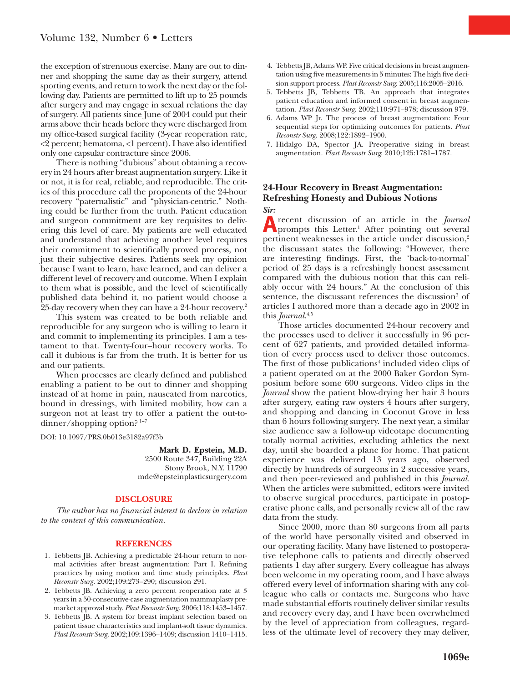the exception of strenuous exercise. Many are out to dinner and shopping the same day as their surgery, attend sporting events, and return to work the next day or the following day. Patients are permitted to lift up to 25 pounds after surgery and may engage in sexual relations the day of surgery. All patients since June of 2004 could put their arms above their heads before they were discharged from my office-based surgical facility (3-year reoperation rate, <2 percent; hematoma, <1 percent). I have also identified only one capsular contracture since 2006.

There is nothing "dubious" about obtaining a recovery in 24 hours after breast augmentation surgery. Like it or not, it is for real, reliable, and reproducible. The critics of this procedure call the proponents of the 24-hour recovery "paternalistic" and "physician-centric." Nothing could be further from the truth. Patient education and surgeon commitment are key requisites to delivering this level of care. My patients are well educated and understand that achieving another level requires their commitment to scientifically proved process, not just their subjective desires. Patients seek my opinion because I want to learn, have learned, and can deliver a different level of recovery and outcome. When I explain to them what is possible, and the level of scientifically published data behind it, no patient would choose a 25-day recovery when they can have a 24-hour recovery.<sup>2</sup>

This system was created to be both reliable and reproducible for any surgeon who is willing to learn it and commit to implementing its principles. I am a testament to that. Twenty-four–hour recovery works. To call it dubious is far from the truth. It is better for us and our patients.

When processes are clearly defined and published enabling a patient to be out to dinner and shopping instead of at home in pain, nauseated from narcotics, bound in dressings, with limited mobility, how can a surgeon not at least try to offer a patient the out-to $dimner/shopping option? <sup>1–7</sup>$ 

DOI: 10.1097/PRS.0b013e3182a97f3b

**Mark D. Epstein, M.D.**  2500 Route 347, Building 22A Stony Brook, N.Y. 11790 [mde@epsteinplasticsurgery.com](mailto:mde@epsteinplasticsurgery.com)

## **DISCLOSURE**

*The author has no financial interest to declare in relation to the content of this communication.*

#### **REFERENCES**

- 1. Tebbetts JB. Achieving a predictable 24-hour return to normal activities after breast augmentation: Part I. Refining practices by using motion and time study principles. *Plast Reconstr Surg*. 2002;109:273–290; discussion 291.
- 2. Tebbetts JB. Achieving a zero percent reoperation rate at 3 years in a 50-consecutive-case augmentation mammaplasty premarket approval study. *Plast Reconstr Surg*. 2006;118:1453–1457.
- 3. Tebbetts JB. A system for breast implant selection based on patient tissue characteristics and implant-soft tissue dynamics. *Plast Reconstr Surg*. 2002;109:1396–1409; discussion 1410–1415.
- 4. Tebbetts JB, Adams WP. Five critical decisions in breast augmentation using five measurements in 5 minutes: The high five decision support process. *Plast Reconstr Surg*. 2005;116:2005–2016.
- 5. Tebbetts JB, Tebbetts TB. An approach that integrates patient education and informed consent in breast augmentation. *Plast Reconstr Surg*. 2002;110:971–978; discussion 979.
- 6. Adams WP Jr. The process of breast augmentation: Four sequential steps for optimizing outcomes for patients. *Plast Reconstr Surg*. 2008;122:1892–1900.
- 7. Hidalgo DA, Spector JA. Preoperative sizing in breast augmentation. *Plast Reconstr Surg*. 2010;125:1781–1787.

# **24-Hour Recovery in Breast Augmentation: Refreshing Honesty and Dubious Notions** *Sir:*

**A** recent discussion of an article in the *Journal* prompts this Letter.<sup>1</sup> After pointing out several pertinent weaknesses in the article under discussion,<sup>2</sup> the discussant states the following: "However, there are interesting findings. First, the 'back-to-normal' period of 25 days is a refreshingly honest assessment compared with the dubious notion that this can reliably occur with 24 hours." At the conclusion of this sentence, the discussant references the discussion<sup>3</sup> of articles I authored more than a decade ago in 2002 in this *Journal*. 4,5

Those articles documented 24-hour recovery and the processes used to deliver it successfully in 96 percent of 627 patients, and provided detailed information of every process used to deliver those outcomes. The first of those publications<sup>4</sup> included video clips of a patient operated on at the 2000 Baker Gordon Symposium before some 600 surgeons. Video clips in the *Journal* show the patient blow-drying her hair 3 hours after surgery, eating raw oysters 4 hours after surgery, and shopping and dancing in Coconut Grove in less than 6 hours following surgery. The next year, a similar size audience saw a follow-up videotape documenting totally normal activities, excluding athletics the next day, until she boarded a plane for home. That patient experience was delivered 13 years ago, observed directly by hundreds of surgeons in 2 successive years, and then peer-reviewed and published in this *Journal*. When the articles were submitted, editors were invited to observe surgical procedures, participate in postoperative phone calls, and personally review all of the raw data from the study.

Since 2000, more than 80 surgeons from all parts of the world have personally visited and observed in our operating facility. Many have listened to postoperative telephone calls to patients and directly observed patients 1 day after surgery. Every colleague has always been welcome in my operating room, and I have always offered every level of information sharing with any colleague who calls or contacts me. Surgeons who have made substantial efforts routinely deliver similar results and recovery every day, and I have been overwhelmed by the level of appreciation from colleagues, regardless of the ultimate level of recovery they may deliver,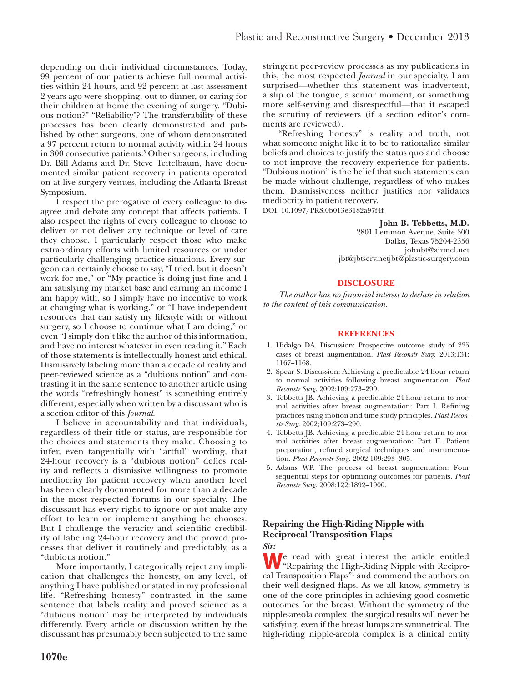depending on their individual circumstances. Today, 99 percent of our patients achieve full normal activities within 24 hours, and 92 percent at last assessment 2 years ago were shopping, out to dinner, or caring for their children at home the evening of surgery. "Dubious notion?" "Reliability"? The transferability of these processes has been clearly demonstrated and published by other surgeons, one of whom demonstrated a 97 percent return to normal activity within 24 hours in 300 consecutive patients.5 Other surgeons, including Dr. Bill Adams and Dr. Steve Teitelbaum, have documented similar patient recovery in patients operated on at live surgery venues, including the Atlanta Breast Symposium.

I respect the prerogative of every colleague to disagree and debate any concept that affects patients. I also respect the rights of every colleague to choose to deliver or not deliver any technique or level of care they choose. I particularly respect those who make extraordinary efforts with limited resources or under particularly challenging practice situations. Every surgeon can certainly choose to say, "I tried, but it doesn't work for me," or "My practice is doing just fine and I am satisfying my market base and earning an income I am happy with, so I simply have no incentive to work at changing what is working," or "I have independent resources that can satisfy my lifestyle with or without surgery, so I choose to continue what I am doing," or even "I simply don't like the author of this information, and have no interest whatever in even reading it." Each of those statements is intellectually honest and ethical. Dismissively labeling more than a decade of reality and peer-reviewed science as a "dubious notion" and contrasting it in the same sentence to another article using the words "refreshingly honest" is something entirely different, especially when written by a discussant who is a section editor of this *Journal*.

I believe in accountability and that individuals, regardless of their title or status, are responsible for the choices and statements they make. Choosing to infer, even tangentially with "artful" wording, that 24-hour recovery is a "dubious notion" defies reality and reflects a dismissive willingness to promote mediocrity for patient recovery when another level has been clearly documented for more than a decade in the most respected forums in our specialty. The discussant has every right to ignore or not make any effort to learn or implement anything he chooses. But I challenge the veracity and scientific credibility of labeling 24-hour recovery and the proved processes that deliver it routinely and predictably, as a "dubious notion."

More importantly, I categorically reject any implication that challenges the honesty, on any level, of anything I have published or stated in my professional life. "Refreshing honesty" contrasted in the same sentence that labels reality and proved science as a "dubious notion" may be interpreted by individuals differently. Every article or discussion written by the discussant has presumably been subjected to the same

stringent peer-review processes as my publications in this, the most respected *Journal* in our specialty. I am surprised—whether this statement was inadvertent, a slip of the tongue, a senior moment, or something more self-serving and disrespectful—that it escaped the scrutiny of reviewers (if a section editor's comments are reviewed).

"Refreshing honesty" is reality and truth, not what someone might like it to be to rationalize similar beliefs and choices to justify the status quo and choose to not improve the recovery experience for patients. "Dubious notion" is the belief that such statements can be made without challenge, regardless of who makes them. Dismissiveness neither justifies nor validates mediocrity in patient recovery.

DOI: 10.1097/PRS.0b013e3182a97f4f

**John B. Tebbetts, M.D.**

2801 Lemmon Avenue, Suite 300 Dallas, Texas 75204-2356 [johnbt@airmel.net](mailto:johnbt@airmel.net) [jbt@jbtserv.net](mailto:jbt@jbtserv.net)[jbt@plastic-surgery.com](mailto:jbt@plastic-surgery.com)

## **disclosure**

*The author has no financial interest to declare in relation to the content of this communication.*

## **references**

- 1. Hidalgo DA. Discussion: Prospective outcome study of 225 cases of breast augmentation. *Plast Reconstr Surg*. 2013;131: 1167–1168.
- 2. Spear S. Discussion: Achieving a predictable 24-hour return to normal activities following breast augmentation. *Plast Reconstr Surg*. 2002;109:273–290.
- 3. Tebbetts JB. Achieving a predictable 24-hour return to normal activities after breast augmentation: Part I. Refining practices using motion and time study principles. *Plast Reconstr Surg*. 2002;109:273–290.
- 4. Tebbetts JB. Achieving a predictable 24-hour return to normal activities after breast augmentation: Part II. Patient preparation, refined surgical techniques and instrumentation. *Plast Reconstr Surg*. 2002;109:293–305.
- 5. Adams WP. The process of breast augmentation: Four sequential steps for optimizing outcomes for patients. *Plast Reconstr Surg*. 2008;122:1892–1900.

# **Repairing the High-Riding Nipple with Reciprocal Transposition Flaps** *Sir:*

**W**e read with great interest the article entitled "Repairing the High-Riding Nipple with Reciprocal Transposition Flaps"<sup>1</sup> and commend the authors on their well-designed flaps. As we all know, symmetry is one of the core principles in achieving good cosmetic outcomes for the breast. Without the symmetry of the nipple-areola complex, the surgical results will never be satisfying, even if the breast lumps are symmetrical. The high-riding nipple-areola complex is a clinical entity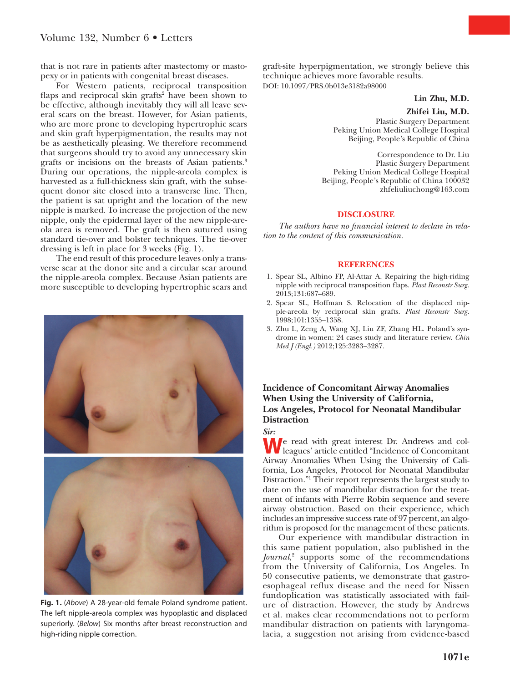that is not rare in patients after mastectomy or mastopexy or in patients with congenital breast diseases.

For Western patients, reciprocal transposition flaps and reciprocal skin grafts<sup>2</sup> have been shown to be effective, although inevitably they will all leave several scars on the breast. However, for Asian patients, who are more prone to developing hypertrophic scars and skin graft hyperpigmentation, the results may not be as aesthetically pleasing. We therefore recommend that surgeons should try to avoid any unnecessary skin grafts or incisions on the breasts of Asian patients.<sup>3</sup> During our operations, the nipple-areola complex is harvested as a full-thickness skin graft, with the subsequent donor site closed into a transverse line. Then, the patient is sat upright and the location of the new nipple is marked. To increase the projection of the new nipple, only the epidermal layer of the new nipple-areola area is removed. The graft is then sutured using standard tie-over and bolster techniques. The tie-over dressing is left in place for 3 weeks (Fig. 1).

The end result of this procedure leaves only a transverse scar at the donor site and a circular scar around the nipple-areola complex. Because Asian patients are more susceptible to developing hypertrophic scars and



**Fig. 1.** (*Above*) A 28-year-old female Poland syndrome patient. The left nipple-areola complex was hypoplastic and displaced superiorly. (*Below*) Six months after breast reconstruction and high-riding nipple correction.

graft-site hyperpigmentation, we strongly believe this technique achieves more favorable results. DOI: 10.1097/PRS.0b013e3182a98000

# **Lin Zhu, M.D.**

**Zhifei Liu, M.D.**

Plastic Surgery Department Peking Union Medical College Hospital Beijing, People's Republic of China

Correspondence to Dr. Liu Plastic Surgery Department Peking Union Medical College Hospital Beijing, People's Republic of China 100032 [zhfeliuliuchong@163.com](mailto:zhfeliuliuchong@163.com)

## **DISCLOSURE**

*The authors have no financial interest to declare in relation to the content of this communication.*

#### **REFERENCES**

- 1. Spear SL, Albino FP, Al-Attar A. Repairing the high-riding nipple with reciprocal transposition flaps. *Plast Reconstr Surg*. 2013;131:687–689.
- 2. Spear SL, Hoffman S. Relocation of the displaced nipple-areola by reciprocal skin grafts. *Plast Reconstr Surg*. 1998;101:1355–1358.
- 3. Zhu L, Zeng A, Wang XJ, Liu ZF, Zhang HL. Poland's syndrome in women: 24 cases study and literature review. *Chin Med J (Engl.)* 2012;125:3283–3287.

# **Incidence of Concomitant Airway Anomalies When Using the University of California, Los Angeles, Protocol for Neonatal Mandibular Distraction**

*Sir:*

**W**e read with great interest Dr. Andrews and col-leagues' article entitled "Incidence of Concomitant Airway Anomalies When Using the University of California, Los Angeles, Protocol for Neonatal Mandibular Distraction."<sup>1</sup> Their report represents the largest study to date on the use of mandibular distraction for the treatment of infants with Pierre Robin sequence and severe airway obstruction. Based on their experience, which includes an impressive success rate of 97 percent, an algorithm is proposed for the management of these patients.

Our experience with mandibular distraction in this same patient population, also published in the *Journal*, 2 supports some of the recommendations from the University of California, Los Angeles. In 50 consecutive patients, we demonstrate that gastroesophageal reflux disease and the need for Nissen fundoplication was statistically associated with failure of distraction. However, the study by Andrews et al. makes clear recommendations not to perform mandibular distraction on patients with laryngomalacia, a suggestion not arising from evidence-based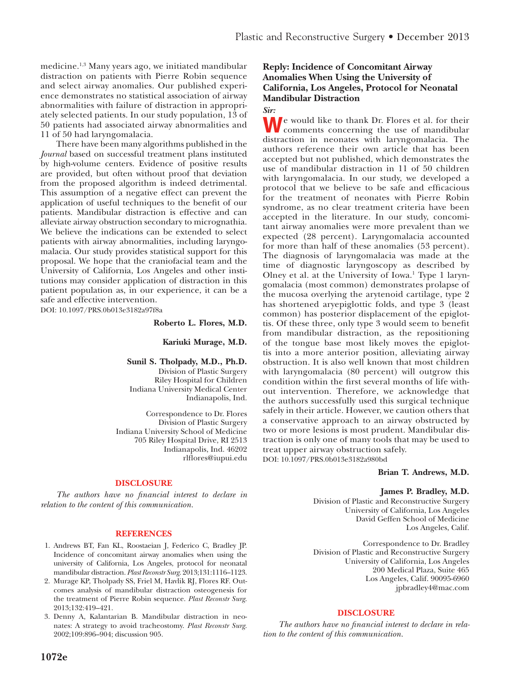medicine.1,3 Many years ago, we initiated mandibular distraction on patients with Pierre Robin sequence and select airway anomalies. Our published experience demonstrates no statistical association of airway abnormalities with failure of distraction in appropriately selected patients. In our study population, 13 of 50 patients had associated airway abnormalities and 11 of 50 had laryngomalacia.

There have been many algorithms published in the *Journal* based on successful treatment plans instituted by high-volume centers. Evidence of positive results are provided, but often without proof that deviation from the proposed algorithm is indeed detrimental. This assumption of a negative effect can prevent the application of useful techniques to the benefit of our patients. Mandibular distraction is effective and can alleviate airway obstruction secondary to micrognathia. We believe the indications can be extended to select patients with airway abnormalities, including laryngomalacia. Our study provides statistical support for this proposal. We hope that the craniofacial team and the University of California, Los Angeles and other institutions may consider application of distraction in this patient population as, in our experience, it can be a safe and effective intervention. DOI: 10.1097/PRS.0b013e3182a97f8a

**Roberto L. Flores, M.D.**

**Kariuki Murage, M.D.**

# **Sunil S. Tholpady, M.D., Ph.D.**

Division of Plastic Surgery Riley Hospital for Children Indiana University Medical Center Indianapolis, Ind.

Correspondence to Dr. Flores Division of Plastic Surgery Indiana University School of Medicine 705 Riley Hospital Drive, RI 2513 Indianapolis, Ind. 46202 [rlflores@iupui.edu](mailto:rlflores@iupui.edu)

# **DISCLOSURE**

*The authors have no financial interest to declare in relation to the content of this communication.*

## **REFERENCES**

- 1. Andrews BT, Fan KL, Roostaeian J, Federico C, Bradley JP. Incidence of concomitant airway anomalies when using the university of California, Los Angeles, protocol for neonatal mandibular distraction. *Plast Reconstr Surg*. 2013;131:1116–1123.
- 2. Murage KP, Tholpady SS, Friel M, Havlik RJ, Flores RF. Outcomes analysis of mandibular distraction osteogenesis for the treatment of Pierre Robin sequence. *Plast Reconstr Surg*. 2013;132:419–421.
- 3. Denny A, Kalantarian B. Mandibular distraction in neonates: A strategy to avoid tracheostomy. *Plast Reconstr Surg*. 2002;109:896–904; discussion 905.

# **Reply: Incidence of Concomitant Airway Anomalies When Using the University of California, Los Angeles, Protocol for Neonatal Mandibular Distraction**

*Sir:*

We would like to thank Dr. Flores et al. for their<br>comments concerning the use of mandibular distraction in neonates with laryngomalacia. The authors reference their own article that has been accepted but not published, which demonstrates the use of mandibular distraction in 11 of 50 children with laryngomalacia. In our study, we developed a protocol that we believe to be safe and efficacious for the treatment of neonates with Pierre Robin syndrome, as no clear treatment criteria have been accepted in the literature. In our study, concomitant airway anomalies were more prevalent than we expected (28 percent). Laryngomalacia accounted for more than half of these anomalies (53 percent). The diagnosis of laryngomalacia was made at the time of diagnostic laryngoscopy as described by Olney et al. at the University of Iowa.<sup>1</sup> Type 1 laryngomalacia (most common) demonstrates prolapse of the mucosa overlying the arytenoid cartilage, type 2 has shortened aryepiglottic folds, and type 3 (least common) has posterior displacement of the epiglottis. Of these three, only type 3 would seem to benefit from mandibular distraction, as the repositioning of the tongue base most likely moves the epiglottis into a more anterior position, alleviating airway obstruction. It is also well known that most children with laryngomalacia (80 percent) will outgrow this condition within the first several months of life without intervention. Therefore, we acknowledge that the authors successfully used this surgical technique safely in their article. However, we caution others that a conservative approach to an airway obstructed by two or more lesions is most prudent. Mandibular distraction is only one of many tools that may be used to treat upper airway obstruction safely.

DOI: 10.1097/PRS.0b013e3182a980bd

# **Brian T. Andrews, M.D.**

# **James P. Bradley, M.D.**

Division of Plastic and Reconstructive Surgery University of California, Los Angeles David Geffen School of Medicine Los Angeles, Calif.

Correspondence to Dr. Bradley Division of Plastic and Reconstructive Surgery University of California, Los Angeles 200 Medical Plaza, Suite 465 Los Angeles, Calif. 90095-6960 [jpbradley4@mac.com](mailto:jpbradley4@mac.com)

# **DISCLOSURE**

*The authors have no financial interest to declare in relation to the content of this communication.*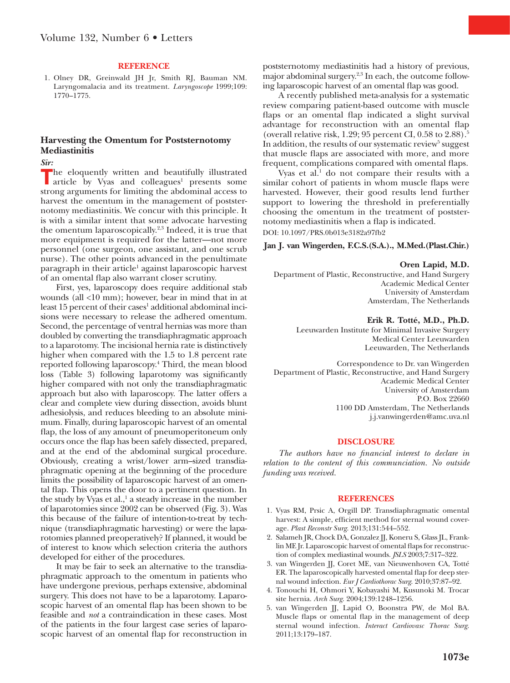### **REFERENCE**

1. Olney DR, Greinwald JH Jr, Smith RJ, Bauman NM. Laryngomalacia and its treatment. *Laryngoscope* 1999;109: 1770–1775.

# **Harvesting the Omentum for Poststernotomy Mediastinitis**

*Sir:*

The eloquently written and beautifully illustrated article by Vyas and colleagues<sup>1</sup> presents some strong arguments for limiting the abdominal access to harvest the omentum in the management of poststernotomy mediastinitis. We concur with this principle. It is with a similar intent that some advocate harvesting the omentum laparoscopically.2,3 Indeed, it is true that more equipment is required for the latter—not more personnel (one surgeon, one assistant, and one scrub nurse). The other points advanced in the penultimate paragraph in their article<sup>1</sup> against laparoscopic harvest of an omental flap also warrant closer scrutiny.

First, yes, laparoscopy does require additional stab wounds (all <10 mm); however, bear in mind that in at least  $15$  percent of their cases $^1$  additional abdominal incisions were necessary to release the adhered omentum. Second, the percentage of ventral hernias was more than doubled by converting the transdiaphragmatic approach to a laparotomy. The incisional hernia rate is distinctively higher when compared with the 1.5 to 1.8 percent rate reported following laparoscopy.4 Third, the mean blood loss (Table 3) following laparotomy was significantly higher compared with not only the transdiaphragmatic approach but also with laparoscopy. The latter offers a clear and complete view during dissection, avoids blunt adhesiolysis, and reduces bleeding to an absolute minimum. Finally, during laparoscopic harvest of an omental flap, the loss of any amount of pneumoperitoneum only occurs once the flap has been safely dissected, prepared, and at the end of the abdominal surgical procedure. Obviously, creating a wrist/lower arm–sized transdiaphragmatic opening at the beginning of the procedure limits the possibility of laparoscopic harvest of an omental flap. This opens the door to a pertinent question. In the study by Vyas et al., $<sup>1</sup>$  a steady increase in the number</sup> of laparotomies since 2002 can be observed (Fig. 3). Was this because of the failure of intention-to-treat by technique (transdiaphragmatic harvesting) or were the laparotomies planned preoperatively? If planned, it would be of interest to know which selection criteria the authors developed for either of the procedures.

It may be fair to seek an alternative to the transdiaphragmatic approach to the omentum in patients who have undergone previous, perhaps extensive, abdominal surgery. This does not have to be a laparotomy. Laparoscopic harvest of an omental flap has been shown to be feasible and *not* a contraindication in these cases. Most of the patients in the four largest case series of laparoscopic harvest of an omental flap for reconstruction in poststernotomy mediastinitis had a history of previous, major abdominal surgery.<sup>2,3</sup> In each, the outcome following laparoscopic harvest of an omental flap was good.

A recently published meta-analysis for a systematic review comparing patient-based outcome with muscle flaps or an omental flap indicated a slight survival advantage for reconstruction with an omental flap (overall relative risk, 1.29; 95 percent CI, 0.58 to 2.88).<sup>5</sup> In addition, the results of our systematic review<sup>5</sup> suggest that muscle flaps are associated with more, and more frequent, complications compared with omental flaps.

Vyas et al. $<sup>1</sup>$  do not compare their results with a</sup> similar cohort of patients in whom muscle flaps were harvested. However, their good results lend further support to lowering the threshold in preferentially choosing the omentum in the treatment of poststernotomy mediastinitis when a flap is indicated. DOI: 10.1097/PRS.0b013e3182a97fb2

**Jan J. van Wingerden, F.C.S.(S.A.)., M.Med.(Plast.Chir.)**

#### **Oren Lapid, M.D.**

Department of Plastic, Reconstructive, and Hand Surgery Academic Medical Center University of Amsterdam Amsterdam, The Netherlands

**Erik R. Totté, M.D., Ph.D.**

Leeuwarden Institute for Minimal Invasive Surgery Medical Center Leeuwarden Leeuwarden, The Netherlands

Correspondence to Dr. van Wingerden Department of Plastic, Reconstructive, and Hand Surgery Academic Medical Center University of Amsterdam P.O. Box 22660 1100 DD Amsterdam, The Netherlands [j.j.vanwingerden@amc.uva.nl](mailto:j.j.vanwingerden@amc.uva.nl)

### **DISCLOSURE**

*The authors have no financial interest to declare in relation to the content of this communciation. No outside funding was received.*

#### **REFERENCES**

- 1. Vyas RM, Prsic A, Orgill DP. Transdiaphragmatic omental harvest: A simple, efficient method for sternal wound coverage. *Plast Reconstr Surg*. 2013;131:544–552.
- 2. Salameh JR, Chock DA, Gonzalez JJ, Koneru S, Glass JL, Franklin ME Jr. Laparoscopic harvest of omental flaps for reconstruction of complex mediastinal wounds. *JSLS* 2003;7:317–322.
- 3. van Wingerden JJ, Coret ME, van Nieuwenhoven CA, Totté ER. The laparoscopically harvested omental flap for deep sternal wound infection. *Eur J Cardiothorac Surg*. 2010;37:87–92.
- 4. Tonouchi H, Ohmori Y, Kobayashi M, Kusunoki M. Trocar site hernia. *Arch Surg*. 2004;139:1248–1256.
- 5. van Wingerden JJ, Lapid O, Boonstra PW, de Mol BA. Muscle flaps or omental flap in the management of deep sternal wound infection. *Interact Cardiovasc Thorac Surg*. 2011;13:179–187.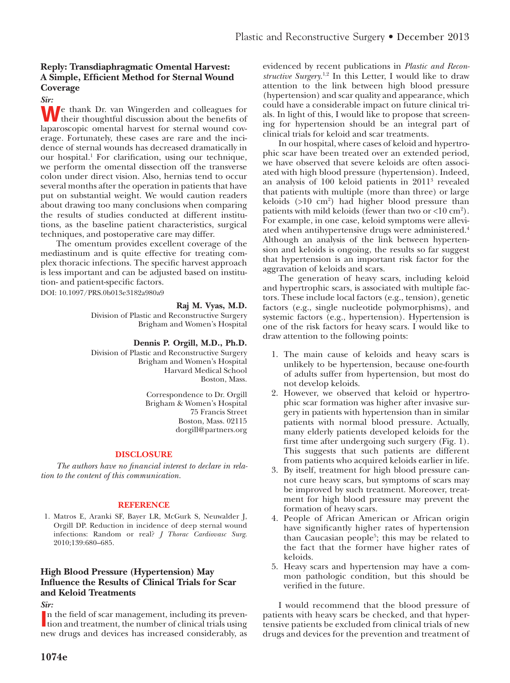# **Reply: Transdiaphragmatic Omental Harvest: A Simple, Efficient Method for Sternal Wound Coverage**

*Sir:* **W**e thank Dr. van Wingerden and colleagues for their thoughtful discussion about the benefits of laparoscopic omental harvest for sternal wound coverage. Fortunately, these cases are rare and the incidence of sternal wounds has decreased dramatically in our hospital.<sup>1</sup> For clarification, using our technique, we perform the omental dissection off the transverse colon under direct vision. Also, hernias tend to occur several months after the operation in patients that have put on substantial weight. We would caution readers about drawing too many conclusions when comparing the results of studies conducted at different institutions, as the baseline patient characteristics, surgical techniques, and postoperative care may differ.

The omentum provides excellent coverage of the mediastinum and is quite effective for treating complex thoracic infections. The specific harvest approach is less important and can be adjusted based on institution- and patient-specific factors.

DOI: 10.1097/PRS.0b013e3182a980a9

**Raj M. Vyas, M.D.**

Division of Plastic and Reconstructive Surgery Brigham and Women's Hospital

# **Dennis P. Orgill, M.D., Ph.D.**

Division of Plastic and Reconstructive Surgery Brigham and Women's Hospital Harvard Medical School Boston, Mass.

> Correspondence to Dr. Orgill Brigham & Women's Hospital 75 Francis Street Boston, Mass. 02115 [dorgill@partners.org](mailto:dorgill@partners.org)

## **DISCLOSURE**

*The authors have no financial interest to declare in relation to the content of this communication.*

# **REFERENCE**

1. Matros E, Aranki SF, Bayer LR, McGurk S, Neuwalder J, Orgill DP. Reduction in incidence of deep sternal wound infections: Random or real? *J Thorac Cardiovasc Surg*. 2010;139:680–685.

# **High Blood Pressure (Hypertension) May Influence the Results of Clinical Trials for Scar and Keloid Treatments**

*Sir:*

In the field of scar management, including its prevention and treatment, the number of clinical trials using tion and treatment, the number of clinical trials using new drugs and devices has increased considerably, as

evidenced by recent publications in *Plastic and Reconstructive Surgery*. 1,2 In this Letter, I would like to draw attention to the link between high blood pressure (hypertension) and scar quality and appearance, which could have a considerable impact on future clinical trials. In light of this, I would like to propose that screening for hypertension should be an integral part of clinical trials for keloid and scar treatments.

In our hospital, where cases of keloid and hypertrophic scar have been treated over an extended period, we have observed that severe keloids are often associated with high blood pressure (hypertension). Indeed, an analysis of 100 keloid patients in 2011<sup>3</sup> revealed that patients with multiple (more than three) or large keloids (>10 cm<sup>2</sup> ) had higher blood pressure than patients with mild keloids (fewer than two or  $<$ 10 cm<sup>2</sup>). For example, in one case, keloid symptoms were alleviated when antihypertensive drugs were administered.4 Although an analysis of the link between hypertension and keloids is ongoing, the results so far suggest that hypertension is an important risk factor for the aggravation of keloids and scars.

The generation of heavy scars, including keloid and hypertrophic scars, is associated with multiple factors. These include local factors (e.g., tension), genetic factors (e.g., single nucleotide polymorphisms), and systemic factors (e.g., hypertension). Hypertension is one of the risk factors for heavy scars. I would like to draw attention to the following points:

- 1. The main cause of keloids and heavy scars is unlikely to be hypertension, because one-fourth of adults suffer from hypertension, but most do not develop keloids.
- 2. However, we observed that keloid or hypertrophic scar formation was higher after invasive surgery in patients with hypertension than in similar patients with normal blood pressure. Actually, many elderly patients developed keloids for the first time after undergoing such surgery (Fig. 1). This suggests that such patients are different from patients who acquired keloids earlier in life.
- 3. By itself, treatment for high blood pressure cannot cure heavy scars, but symptoms of scars may be improved by such treatment. Moreover, treatment for high blood pressure may prevent the formation of heavy scars.
- 4. People of African American or African origin have significantly higher rates of hypertension than Caucasian people<sup>5</sup>; this may be related to the fact that the former have higher rates of keloids.
- 5. Heavy scars and hypertension may have a common pathologic condition, but this should be verified in the future.

I would recommend that the blood pressure of patients with heavy scars be checked, and that hypertensive patients be excluded from clinical trials of new drugs and devices for the prevention and treatment of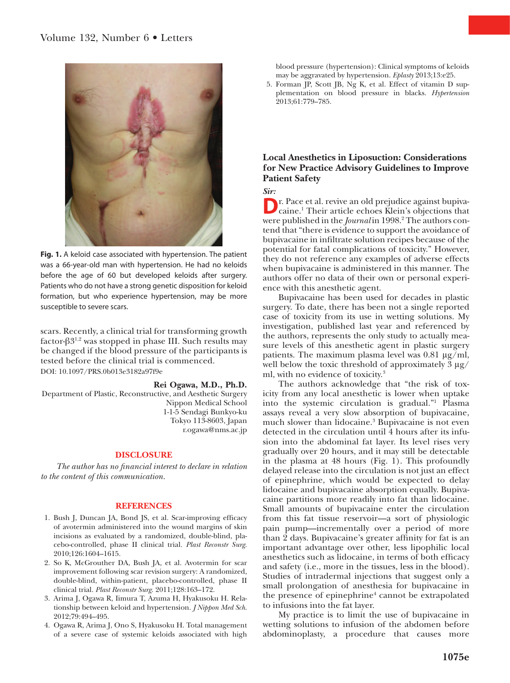

**Fig. 1.** A keloid case associated with hypertension. The patient was a 66-year-old man with hypertension. He had no keloids before the age of 60 but developed keloids after surgery. Patients who do not have a strong genetic disposition for keloid formation, but who experience hypertension, may be more susceptible to severe scars.

scars. Recently, a clinical trial for transforming growth factor-β3<sup>1,2</sup> was stopped in phase III. Such results may be changed if the blood pressure of the participants is tested before the clinical trial is commenced. DOI: 10.1097/PRS.0b013e3182a97f9e

### **Rei Ogawa, M.D., Ph.D.**

Department of Plastic, Reconstructive, and Aesthetic Surgery Nippon Medical School 1-1-5 Sendagi Bunkyo-ku Tokyo 113-8603, Japan [r.ogawa@nms.ac.jp](mailto:r.ogawa@nms.ac.jp)

#### **DISCLOSURE**

*The author has no financial interest to declare in relation to the content of this communication.*

#### **REFERENCES**

- 1. Bush J, Duncan JA, Bond JS, et al. Scar-improving efficacy of avotermin administered into the wound margins of skin incisions as evaluated by a randomized, double-blind, placebo-controlled, phase II clinical trial. *Plast Reconstr Surg*. 2010;126:1604–1615.
- 2. So K, McGrouther DA, Bush JA, et al. Avotermin for scar improvement following scar revision surgery: A randomized, double-blind, within-patient, placebo-controlled, phase II clinical trial. *Plast Reconstr Surg*. 2011;128:163–172.
- 3. Arima J, Ogawa R, Iimura T, Azuma H, Hyakusoku H. Relationship between keloid and hypertension. *J Nippon Med Sch*. 2012;79:494–495.
- 4. Ogawa R, Arima J, Ono S, Hyakusoku H. Total management of a severe case of systemic keloids associated with high

blood pressure (hypertension): Clinical symptoms of keloids may be aggravated by hypertension. *Eplasty* 2013;13:e25.

5. Forman JP, Scott JB, Ng K, et al. Effect of vitamin D supplementation on blood pressure in blacks. *Hypertension* 2013;61:779–785.

# **Local Anesthetics in Liposuction: Considerations for New Practice Advisory Guidelines to Improve Patient Safety**

*Sir:*

**D**r. Pace et al. revive an old prejudice against bupiva-<br>caine.<sup>1</sup> Their article echoes Klein's objections that were published in the *Journal* in 1998.<sup>2</sup> The authors contend that "there is evidence to support the avoidance of bupivacaine in infiltrate solution recipes because of the potential for fatal complications of toxicity." However, they do not reference any examples of adverse effects when bupivacaine is administered in this manner. The authors offer no data of their own or personal experience with this anesthetic agent.

Bupivacaine has been used for decades in plastic surgery. To date, there has been not a single reported case of toxicity from its use in wetting solutions. My investigation, published last year and referenced by the authors, represents the only study to actually measure levels of this anesthetic agent in plastic surgery patients. The maximum plasma level was  $0.81 \mu g/ml$ , well below the toxic threshold of approximately  $3 \mu g$ / ml, with no evidence of toxicity.<sup>3</sup>

The authors acknowledge that "the risk of toxicity from any local anesthetic is lower when uptake into the systemic circulation is gradual."<sup>1</sup> Plasma assays reveal a very slow absorption of bupivacaine, much slower than lidocaine.<sup>3</sup> Bupivacaine is not even detected in the circulation until 4 hours after its infusion into the abdominal fat layer. Its level rises very gradually over 20 hours, and it may still be detectable in the plasma at 48 hours (Fig. 1). This profoundly delayed release into the circulation is not just an effect of epinephrine, which would be expected to delay lidocaine and bupivacaine absorption equally. Bupivacaine partitions more readily into fat than lidocaine. Small amounts of bupivacaine enter the circulation from this fat tissue reservoir—a sort of physiologic pain pump—incrementally over a period of more than 2 days. Bupivacaine's greater affinity for fat is an important advantage over other, less lipophilic local anesthetics such as lidocaine, in terms of both efficacy and safety (i.e., more in the tissues, less in the blood). Studies of intradermal injections that suggest only a small prolongation of anesthesia for bupivacaine in the presence of epinephrine<sup>4</sup> cannot be extrapolated to infusions into the fat layer.

My practice is to limit the use of bupivacaine in wetting solutions to infusion of the abdomen before abdominoplasty, a procedure that causes more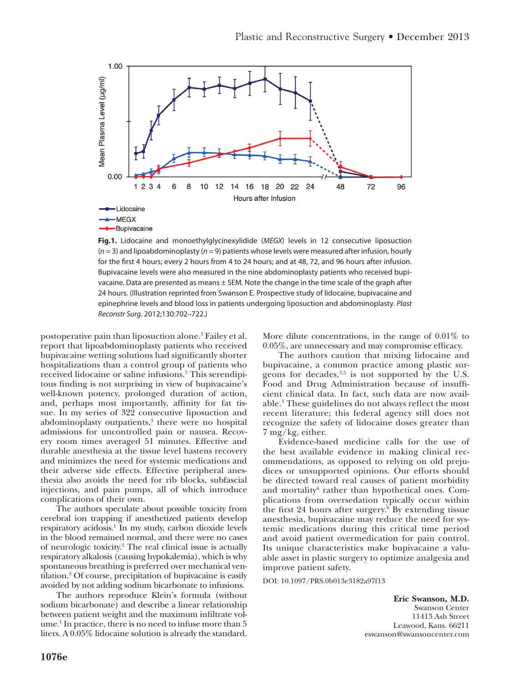

**Fig.1.** Lidocaine and monoethylglycinexylidide (*MEGX*) levels in 12 consecutive liposuction (*n* = 3) and lipoabdominoplasty (*n* = 9) patients whose levels were measured after infusion, hourly for the first 4 hours; every 2 hours from 4 to 24 hours; and at 48, 72, and 96 hours after infusion. Bupivacaine levels were also measured in the nine abdominoplasty patients who received bupivacaine. Data are presented as means  $\pm$  SEM. Note the change in the time scale of the graph after 24 hours. (Illustration reprinted from Swanson E. Prospective study of lidocaine, bupivacaine and epinephrine levels and blood loss in patients undergoing liposuction and abdominoplasty. *Plast Reconstr Surg.* 2012;130:702–722.)

postoperative pain than liposuction alone.<sup>3</sup> Failey et al. report that lipoabdominoplasty patients who received bupivacaine wetting solutions had significantly shorter hospitalizations than a control group of patients who received lidocaine or saline infusions.<sup>5</sup> This serendipitous finding is not surprising in view of bupivacaine's well-known potency, prolonged duration of action, and, perhaps most importantly, affinity for fat tissue. In my series of 322 consecutive liposuction and abdominoplasty outpatients,<sup>3</sup> there were no hospital admissions for uncontrolled pain or nausea. Recovery room times averaged 51 minutes. Effective and durable anesthesia at the tissue level hastens recovery and minimizes the need for systemic medications and their adverse side effects. Effective peripheral anesthesia also avoids the need for rib blocks, subfascial injections, and pain pumps, all of which introduce complications of their own.

The authors speculate about possible toxicity from cerebral ion trapping if anesthetized patients develop respiratory acidosis.<sup>1</sup> In my study, carbon dioxide levels in the blood remained normal, and there were no cases of neurologic toxicity.<sup>3</sup> The real clinical issue is actually respiratory alkalosis (causing hypokalemia), which is why spontaneous breathing is preferred over mechanical ventilation.<sup>3</sup> Of course, precipitation of bupivacaine is easily avoided by not adding sodium bicarbonate to infusions.

The authors reproduce Klein's formula (without sodium bicarbonate) and describe a linear relationship between patient weight and the maximum infiltrate volume.<sup>1</sup> In practice, there is no need to infuse more than 5 liters. A 0.05% lidocaine solution is already the standard.

More dilute concentrations, in the range of 0.01% to 0.05%, are unnecessary and may compromise efficacy.

The authors caution that mixing lidocaine and bupivacaine, a common practice among plastic surgeons for decades, $3,5$  is not supported by the U.S. Food and Drug Administration because of insufficient clinical data. In fact, such data are now available.<sup>3</sup> These guidelines do not always reflect the most recent literature; this federal agency still does not recognize the safety of lidocaine doses greater than 7 mg/kg, either.

Evidence-based medicine calls for the use of the best available evidence in making clinical recommendations, as opposed to relying on old prejudices or unsupported opinions. Our efforts should be directed toward real causes of patient morbidity and mortality<sup>6</sup> rather than hypothetical ones. Complications from oversedation typically occur within the first 24 hours after surgery.<sup>6</sup> By extending tissue anesthesia, bupivacaine may reduce the need for systemic medications during this critical time period and avoid patient overmedication for pain control. Its unique characteristics make bupivacaine a valuable asset in plastic surgery to optimize analgesia and improve patient safety.

DOI: 10.1097/PRS.0b013e3182a97f13

**Eric Swanson, M.D.**  Swanson Center 11413 Ash Street Leawood, Kans. 66211 [eswanson@swansoncenter.com](mailto:eswanson@swansoncenter.com)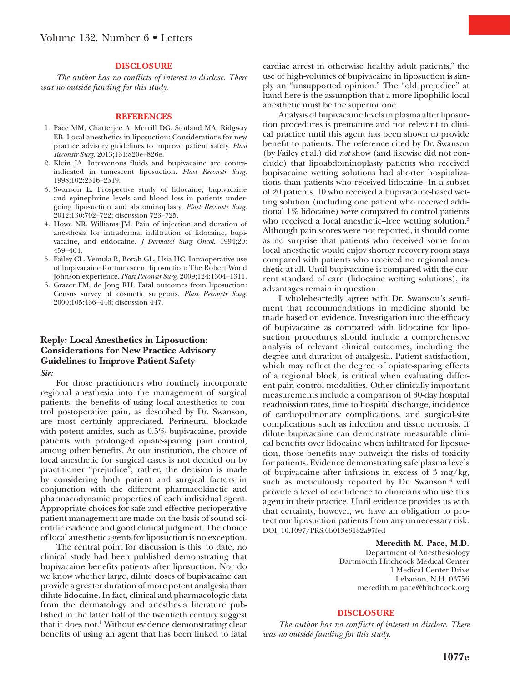### **DISCLOSURE**

*The author has no conflicts of interest to disclose. There was no outside funding for this study.*

#### **REFERENCES**

- 1. Pace MM, Chatterjee A, Merrill DG, Stotland MA, Ridgway EB. Local anesthetics in liposuction: Considerations for new practice advisory guidelines to improve patient safety. *Plast Reconstr Surg*. 2013;131:820e–826e.
- 2. Klein JA. Intravenous fluids and bupivacaine are contraindicated in tumescent liposuction. *Plast Reconstr Surg*. 1998;102:2516–2519.
- 3. Swanson E. Prospective study of lidocaine, bupivacaine and epinephrine levels and blood loss in patients undergoing liposuction and abdominoplasty. *Plast Reconstr Surg*. 2012;130:702–722; discussion 723–725.
- 4. Howe NR, Williams JM. Pain of injection and duration of anesthesia for intradermal infiltration of lidocaine, bupivacaine, and etidocaine. *J Dermatol Surg Oncol*. 1994;20: 459–464.
- 5. Failey CL, Vemula R, Borah GL, Hsia HC. Intraoperative use of bupivacaine for tumescent liposuction: The Robert Wood Johnson experience. *Plast Reconstr Surg*. 2009;124:1304–1311.
- 6. Grazer FM, de Jong RH. Fatal outcomes from liposuction: Census survey of cosmetic surgeons. *Plast Reconstr Surg*. 2000;105:436–446; discussion 447.

# **Reply: Local Anesthetics in Liposuction: Considerations for New Practice Advisory Guidelines to Improve Patient Safety**

*Sir:*

For those practitioners who routinely incorporate regional anesthesia into the management of surgical patients, the benefits of using local anesthetics to control postoperative pain, as described by Dr. Swanson, are most certainly appreciated. Perineural blockade with potent amides, such as 0.5% bupivacaine, provide patients with prolonged opiate-sparing pain control, among other benefits. At our institution, the choice of local anesthetic for surgical cases is not decided on by practitioner "prejudice"; rather, the decision is made by considering both patient and surgical factors in conjunction with the different pharmacokinetic and pharmacodynamic properties of each individual agent. Appropriate choices for safe and effective perioperative patient management are made on the basis of sound scientific evidence and good clinical judgment. The choice of local anesthetic agents for liposuction is no exception.

The central point for discussion is this: to date, no clinical study had been published demonstrating that bupivacaine benefits patients after liposuction. Nor do we know whether large, dilute doses of bupivacaine can provide a greater duration of more potent analgesia than dilute lidocaine. In fact, clinical and pharmacologic data from the dermatology and anesthesia literature published in the latter half of the twentieth century suggest that it does not.<sup>1</sup> Without evidence demonstrating clear benefits of using an agent that has been linked to fatal

cardiac arrest in otherwise healthy adult patients, $2$  the use of high-volumes of bupivacaine in liposuction is simply an "unsupported opinion." The "old prejudice" at hand here is the assumption that a more lipophilic local anesthetic must be the superior one.

Analysis of bupivacaine levels in plasma after liposuction procedures is premature and not relevant to clinical practice until this agent has been shown to provide benefit to patients. The reference cited by Dr. Swanson (by Failey et al.) did *not* show (and likewise did not conclude) that lipoabdominoplasty patients who received bupivacaine wetting solutions had shorter hospitalizations than patients who received lidocaine. In a subset of 20 patients, 10 who received a bupivacaine-based wetting solution (including one patient who received additional 1% lidocaine) were compared to control patients who received a local anesthetic–free wetting solution.<sup>3</sup> Although pain scores were not reported, it should come as no surprise that patients who received some form local anesthetic would enjoy shorter recovery room stays compared with patients who received no regional anesthetic at all. Until bupivacaine is compared with the current standard of care (lidocaine wetting solutions), its advantages remain in question.

I wholeheartedly agree with Dr. Swanson's sentiment that recommendations in medicine should be made based on evidence. Investigation into the efficacy of bupivacaine as compared with lidocaine for liposuction procedures should include a comprehensive analysis of relevant clinical outcomes, including the degree and duration of analgesia. Patient satisfaction, which may reflect the degree of opiate-sparing effects of a regional block, is critical when evaluating different pain control modalities. Other clinically important measurements include a comparison of 30-day hospital readmission rates, time to hospital discharge, incidence of cardiopulmonary complications, and surgical-site complications such as infection and tissue necrosis. If dilute bupivacaine can demonstrate measurable clinical benefits over lidocaine when infiltrated for liposuction, those benefits may outweigh the risks of toxicity for patients. Evidence demonstrating safe plasma levels of bupivacaine after infusions in excess of 3 mg/kg, such as meticulously reported by Dr. Swanson,<sup>4</sup> will provide a level of confidence to clinicians who use this agent in their practice. Until evidence provides us with that certainty, however, we have an obligation to protect our liposuction patients from any unnecessary risk. DOI: 10.1097/PRS.0b013e3182a97fed

#### **Meredith M. Pace, M.D.**

Department of Anesthesiology Dartmouth Hitchcock Medical Center 1 Medical Center Drive Lebanon, N.H. 03756 [meredith.m.pace@hitchcock.org](mailto:meredith.m.pace@hitchcock.org)

### **DISCLOSURE**

*The author has no conflicts of interest to disclose. There was no outside funding for this study.*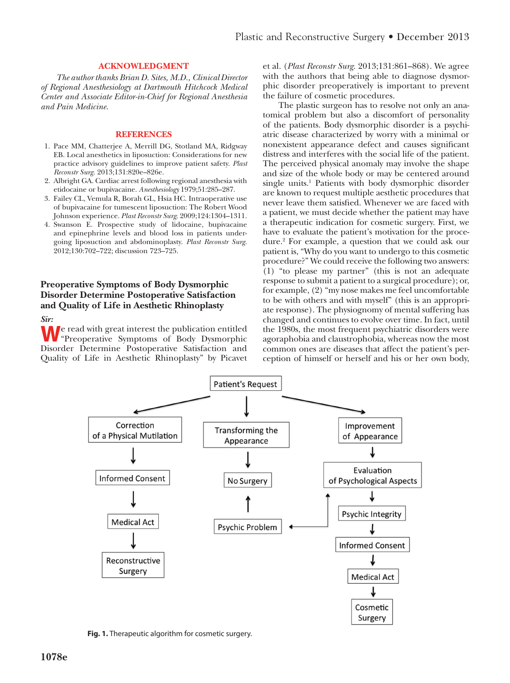## **ACKNOWLEDGMENT**

*The author thanks Brian D. Sites, M.D., Clinical Director of Regional Anesthesiology at Dartmouth Hitchcock Medical Center and Associate Editor-in-Chief for Regional Anesthesia and Pain Medicine.*

## **REFERENCES**

- 1. Pace MM, Chatterjee A, Merrill DG, Stotland MA, Ridgway EB. Local anesthetics in liposuction: Considerations for new practice advisory guidelines to improve patient safety. *Plast Reconstr Surg*. 2013;131:820e–826e.
- 2. Albright GA. Cardiac arrest following regional anesthesia with etidocaine or bupivacaine. *Anesthesiology* 1979;51:285–287.
- 3. Failey CL, Vemula R, Borah GL, Hsia HC. Intraoperative use of bupivacaine for tumescent liposuction: The Robert Wood Johnson experience. *Plast Reconstr Surg*. 2009;124:1304–1311.
- 4. Swanson E. Prospective study of lidocaine, bupivacaine and epinephrine levels and blood loss in patients undergoing liposuction and abdominoplasty. *Plast Reconstr Surg*. 2012;130:702–722; discussion 723–725.

# **Preoperative Symptoms of Body Dysmorphic Disorder Determine Postoperative Satisfaction and Quality of Life in Aesthetic Rhinoplasty**

*Sir:* **W**e read with great interest the publication entitled "Preoperative Symptoms of Body Dysmorphic Disorder Determine Postoperative Satisfaction and Quality of Life in Aesthetic Rhinoplasty" by Picavet

et al. (*Plast Reconstr Surg*. 2013;131:861–868). We agree with the authors that being able to diagnose dysmorphic disorder preoperatively is important to prevent the failure of cosmetic procedures.

The plastic surgeon has to resolve not only an anatomical problem but also a discomfort of personality of the patients. Body dysmorphic disorder is a psychiatric disease characterized by worry with a minimal or nonexistent appearance defect and causes significant distress and interferes with the social life of the patient. The perceived physical anomaly may involve the shape and size of the whole body or may be centered around single units.<sup>1</sup> Patients with body dysmorphic disorder are known to request multiple aesthetic procedures that never leave them satisfied. Whenever we are faced with a patient, we must decide whether the patient may have a therapeutic indication for cosmetic surgery. First, we have to evaluate the patient's motivation for the procedure.<sup>2</sup> For example, a question that we could ask our patient is, "Why do you want to undergo to this cosmetic procedure?" We could receive the following two answers: (1) "to please my partner" (this is not an adequate response to submit a patient to a surgical procedure); or, for example, (2) "my nose makes me feel uncomfortable to be with others and with myself" (this is an appropriate response). The physiognomy of mental suffering has changed and continues to evolve over time. In fact, until the 1980s, the most frequent psychiatric disorders were agoraphobia and claustrophobia, whereas now the most common ones are diseases that affect the patient's perception of himself or herself and his or her own body,



**Fig. 1.** Therapeutic algorithm for cosmetic surgery.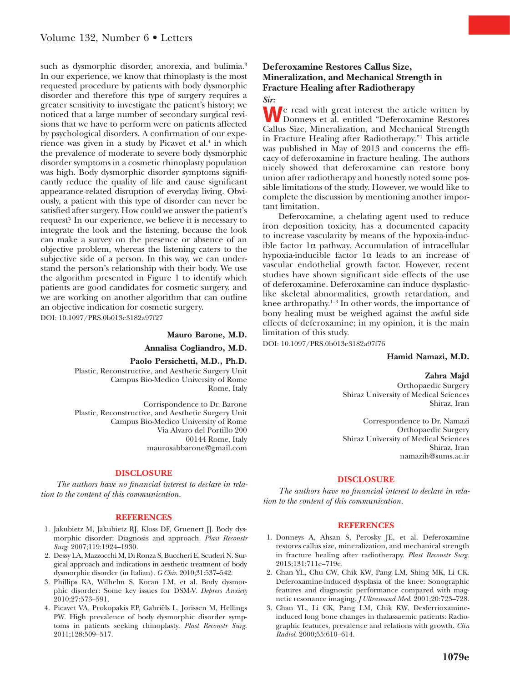such as dysmorphic disorder, anorexia, and bulimia.<sup>3</sup> In our experience, we know that rhinoplasty is the most requested procedure by patients with body dysmorphic disorder and therefore this type of surgery requires a greater sensitivity to investigate the patient's history; we noticed that a large number of secondary surgical revisions that we have to perform were on patients affected by psychological disorders. A confirmation of our experience was given in a study by Picavet et al.<sup>4</sup> in which the prevalence of moderate to severe body dysmorphic disorder symptoms in a cosmetic rhinoplasty population was high. Body dysmorphic disorder symptoms significantly reduce the quality of life and cause significant appearance-related disruption of everyday living. Obviously, a patient with this type of disorder can never be satisfied after surgery. How could we answer the patient's request? In our experience, we believe it is necessary to integrate the look and the listening, because the look can make a survey on the presence or absence of an objective problem, whereas the listening caters to the subjective side of a person. In this way, we can understand the person's relationship with their body. We use the algorithm presented in Figure 1 to identify which patients are good candidates for cosmetic surgery, and we are working on another algorithm that can outline an objective indication for cosmetic surgery. DOI: 10.1097/PRS.0b013e3182a97f27

**Mauro Barone, M.D.**

**Annalisa Cogliandro, M.D.**

**Paolo Persichetti, M.D., Ph.D.**

Plastic, Reconstructive, and Aesthetic Surgery Unit Campus Bio-Medico University of Rome Rome, Italy

Corrispondence to Dr. Barone Plastic, Reconstructive, and Aesthetic Surgery Unit Campus Bio-Medico University of Rome Via Alvaro del Portillo 200 00144 Rome, Italy [maurosabbarone@gmail.com](mailto:maurosabbarone@gmail.com)

### **DISCLOSURE**

*The authors have no financial interest to declare in relation to the content of this communication.*

### **REFERENCES**

- 1. Jakubietz M, Jakubietz RJ, Kloss DF, Gruenert JJ. Body dysmorphic disorder: Diagnosis and approach. *Plast Reconstr Surg*. 2007;119:1924–1930.
- 2. Dessy LA, Mazzocchi M, Di Ronza S, Buccheri E, Scuderi N. Surgical approach and indications in aesthetic treatment of body dysmorphic disorder (in Italian). *G Chir*. 2010;31:537–542.
- 3. Phillips KA, Wilhelm S, Koran LM, et al. Body dysmorphic disorder: Some key issues for DSM-V. *Depress Anxiety* 2010;27:573–591.
- 4. Picavet VA, Prokopakis EP, Gabriëls L, Jorissen M, Hellings PW. High prevalence of body dysmorphic disorder symptoms in patients seeking rhinoplasty. *Plast Reconstr Surg*. 2011;128:509–517.

# **Deferoxamine Restores Callus Size, Mineralization, and Mechanical Strength in Fracture Healing after Radiotherapy** *Sir:*

**R** read with great interest the article written by Donneys et al. entitled "Deferoxamine Restores Callus Size, Mineralization, and Mechanical Strength in Fracture Healing after Radiotherapy."<sup>1</sup> This article was published in May of 2013 and concerns the efficacy of deferoxamine in fracture healing. The authors nicely showed that deferoxamine can restore bony union after radiotherapy and honestly noted some possible limitations of the study. However, we would like to complete the discussion by mentioning another important limitation.

Deferoxamine, a chelating agent used to reduce iron deposition toxicity, has a documented capacity to increase vascularity by means of the hypoxia-inducible factor  $1\alpha$  pathway. Accumulation of intracellular hypoxia-inducible factor 1α leads to an increase of vascular endothelial growth factor. However, recent studies have shown significant side effects of the use of deferoxamine. Deferoxamine can induce dysplasticlike skeletal abnormalities, growth retardation, and knee arthropathy. $1-3$  In other words, the importance of bony healing must be weighed against the awful side effects of deferoxamine; in my opinion, it is the main limitation of this study.

DOI: 10.1097/PRS.0b013e3182a97f76

#### **Hamid Namazi, M.D.**

### **Zahra Majd**

Orthopaedic Surgery Shiraz University of Medical Sciences Shiraz, Iran

Correspondence to Dr. Namazi Orthopaedic Surgery Shiraz University of Medical Sciences Shiraz, Iran [namazih@sums.ac.ir](mailto:namazih@sums.ac.ir)

#### **DISCLOSURE**

*The authors have no financial interest to declare in relation to the content of this communication.*

#### **REFERENCES**

- 1. Donneys A, Ahsan S, Perosky JE, et al. Deferoxamine restores callus size, mineralization, and mechanical strength in fracture healing after radiotherapy. *Plast Reconstr Surg*. 2013;131:711e–719e.
- 2. Chan YL, Chu CW, Chik KW, Pang LM, Shing MK, Li CK. Deferoxamine-induced dysplasia of the knee: Sonographic features and diagnostic performance compared with magnetic resonance imaging. *J Ultrasound Med*. 2001;20:723–728.
- 3. Chan YL, Li CK, Pang LM, Chik KW. Desferrioxamineinduced long bone changes in thalassaemic patients: Radiographic features, prevalence and relations with growth. *Clin Radiol*. 2000;55:610–614.